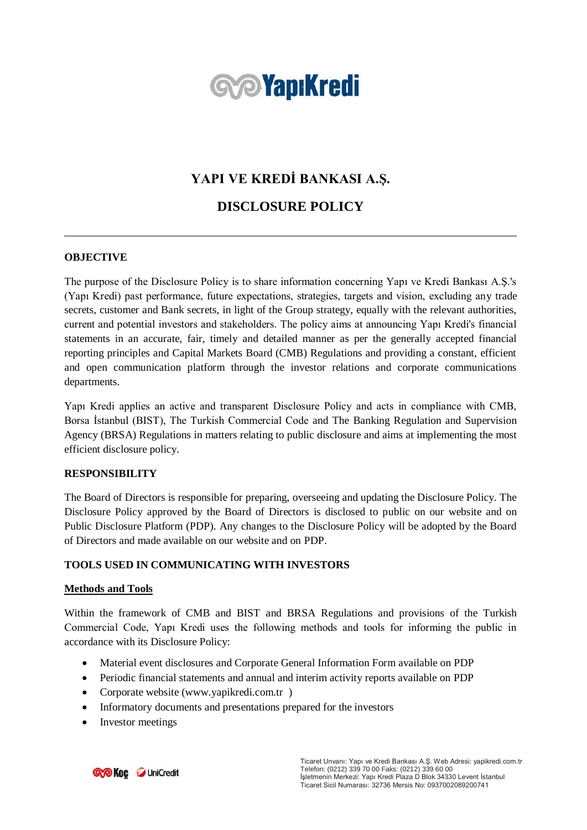

# **YAPI VE KREDİ BANKASI A.Ş.**

# **DISCLOSURE POLICY**

# **OBJECTIVE**

The purpose of the Disclosure Policy is to share information concerning Yapı ve Kredi Bankası A.Ş.'s (Yapı Kredi) past performance, future expectations, strategies, targets and vision, excluding any trade secrets, customer and Bank secrets, in light of the Group strategy, equally with the relevant authorities, current and potential investors and stakeholders. The policy aims at announcing Yapı Kredi's financial statements in an accurate, fair, timely and detailed manner as per the generally accepted financial reporting principles and Capital Markets Board (CMB) Regulations and providing a constant, efficient and open communication platform through the investor relations and corporate communications departments.

Yapı Kredi applies an active and transparent Disclosure Policy and acts in compliance with CMB, Borsa İstanbul (BIST), The Turkish Commercial Code and The Banking Regulation and Supervision Agency (BRSA) Regulations in matters relating to public disclosure and aims at implementing the most efficient disclosure policy.

# **RESPONSIBILITY**

The Board of Directors is responsible for preparing, overseeing and updating the Disclosure Policy. The Disclosure Policy approved by the Board of Directors is disclosed to public on our website and on Public Disclosure Platform (PDP). Any changes to the Disclosure Policy will be adopted by the Board of Directors and made available on our website and on PDP.

# **TOOLS USED IN COMMUNICATING WITH INVESTORS**

#### **Methods and Tools**

Within the framework of CMB and BIST and BRSA Regulations and provisions of the Turkish Commercial Code, Yapı Kredi uses the following methods and tools for informing the public in accordance with its Disclosure Policy:

- Material event disclosures and Corporate General Information Form available on PDP
- Periodic financial statements and annual and interim activity reports available on PDP
- Corporate website (www.yapikredi.com.tr )
- Informatory documents and presentations prepared for the investors
- Investor meetings

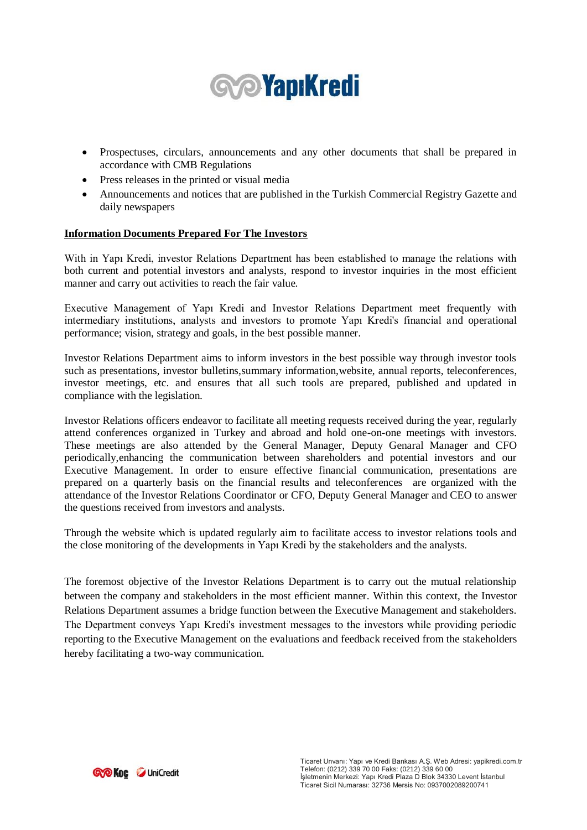

- Prospectuses, circulars, announcements and any other documents that shall be prepared in accordance with CMB Regulations
- Press releases in the printed or visual media
- Announcements and notices that are published in the Turkish Commercial Registry Gazette and daily newspapers

#### **Information Documents Prepared For The Investors**

With in Yapı Kredi, investor Relations Department has been established to manage the relations with both current and potential investors and analysts, respond to investor inquiries in the most efficient manner and carry out activities to reach the fair value.

Executive Management of Yapı Kredi and Investor Relations Department meet frequently with intermediary institutions, analysts and investors to promote Yapı Kredi's financial and operational performance; vision, strategy and goals, in the best possible manner.

Investor Relations Department aims to inform investors in the best possible way through investor tools such as presentations, investor bulletins,summary information,website, annual reports, teleconferences, investor meetings, etc. and ensures that all such tools are prepared, published and updated in compliance with the legislation.

Investor Relations officers endeavor to facilitate all meeting requests received during the year, regularly attend conferences organized in Turkey and abroad and hold one-on-one meetings with investors. These meetings are also attended by the General Manager, Deputy Genaral Manager and CFO periodically,enhancing the communication between shareholders and potential investors and our Executive Management. In order to ensure effective financial communication, presentations are prepared on a quarterly basis on the financial results and teleconferences are organized with the attendance of the Investor Relations Coordinator or CFO, Deputy General Manager and CEO to answer the questions received from investors and analysts.

Through the website which is updated regularly aim to facilitate access to investor relations tools and the close monitoring of the developments in Yapı Kredi by the stakeholders and the analysts.

The foremost objective of the Investor Relations Department is to carry out the mutual relationship between the company and stakeholders in the most efficient manner. Within this context, the Investor Relations Department assumes a bridge function between the Executive Management and stakeholders. The Department conveys Yapı Kredi's investment messages to the investors while providing periodic reporting to the Executive Management on the evaluations and feedback received from the stakeholders hereby facilitating a two-way communication.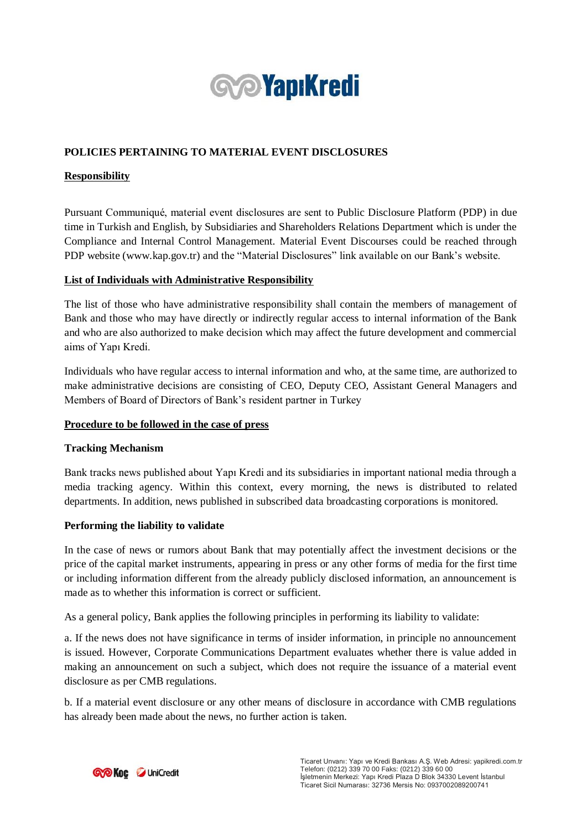

# **POLICIES PERTAINING TO MATERIAL EVENT DISCLOSURES**

## **Responsibility**

Pursuant Communiqué, material event disclosures are sent to Public Disclosure Platform (PDP) in due time in Turkish and English, by Subsidiaries and Shareholders Relations Department which is under the Compliance and Internal Control Management. Material Event Discourses could be reached through PDP website (www.kap.gov.tr) and the "Material Disclosures" link available on our Bank's website.

### **List of Individuals with Administrative Responsibility**

The list of those who have administrative responsibility shall contain the members of management of Bank and those who may have directly or indirectly regular access to internal information of the Bank and who are also authorized to make decision which may affect the future development and commercial aims of Yapı Kredi.

Individuals who have regular access to internal information and who, at the same time, are authorized to make administrative decisions are consisting of CEO, Deputy CEO, Assistant General Managers and Members of Board of Directors of Bank's resident partner in Turkey

#### **Procedure to be followed in the case of press**

#### **Tracking Mechanism**

Bank tracks news published about Yapı Kredi and its subsidiaries in important national media through a media tracking agency. Within this context, every morning, the news is distributed to related departments. In addition, news published in subscribed data broadcasting corporations is monitored.

#### **Performing the liability to validate**

In the case of news or rumors about Bank that may potentially affect the investment decisions or the price of the capital market instruments, appearing in press or any other forms of media for the first time or including information different from the already publicly disclosed information, an announcement is made as to whether this information is correct or sufficient.

As a general policy, Bank applies the following principles in performing its liability to validate:

a. If the news does not have significance in terms of insider information, in principle no announcement is issued. However, Corporate Communications Department evaluates whether there is value added in making an announcement on such a subject, which does not require the issuance of a material event disclosure as per CMB regulations.

b. If a material event disclosure or any other means of disclosure in accordance with CMB regulations has already been made about the news, no further action is taken.

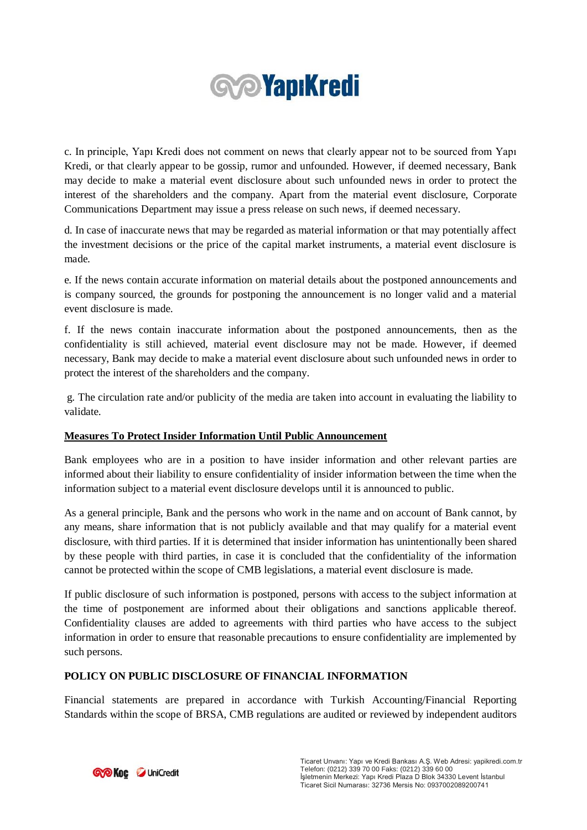

c. In principle, Yapı Kredi does not comment on news that clearly appear not to be sourced from Yapı Kredi, or that clearly appear to be gossip, rumor and unfounded. However, if deemed necessary, Bank may decide to make a material event disclosure about such unfounded news in order to protect the interest of the shareholders and the company. Apart from the material event disclosure, Corporate Communications Department may issue a press release on such news, if deemed necessary.

d. In case of inaccurate news that may be regarded as material information or that may potentially affect the investment decisions or the price of the capital market instruments, a material event disclosure is made.

e. If the news contain accurate information on material details about the postponed announcements and is company sourced, the grounds for postponing the announcement is no longer valid and a material event disclosure is made.

f. If the news contain inaccurate information about the postponed announcements, then as the confidentiality is still achieved, material event disclosure may not be made. However, if deemed necessary, Bank may decide to make a material event disclosure about such unfounded news in order to protect the interest of the shareholders and the company.

g. The circulation rate and/or publicity of the media are taken into account in evaluating the liability to validate.

# **Measures To Protect Insider Information Until Public Announcement**

Bank employees who are in a position to have insider information and other relevant parties are informed about their liability to ensure confidentiality of insider information between the time when the information subject to a material event disclosure develops until it is announced to public.

As a general principle, Bank and the persons who work in the name and on account of Bank cannot, by any means, share information that is not publicly available and that may qualify for a material event disclosure, with third parties. If it is determined that insider information has unintentionally been shared by these people with third parties, in case it is concluded that the confidentiality of the information cannot be protected within the scope of CMB legislations, a material event disclosure is made.

If public disclosure of such information is postponed, persons with access to the subject information at the time of postponement are informed about their obligations and sanctions applicable thereof. Confidentiality clauses are added to agreements with third parties who have access to the subject information in order to ensure that reasonable precautions to ensure confidentiality are implemented by such persons.

#### **POLICY ON PUBLIC DISCLOSURE OF FINANCIAL INFORMATION**

Financial statements are prepared in accordance with Turkish Accounting/Financial Reporting Standards within the scope of BRSA, CMB regulations are audited or reviewed by independent auditors

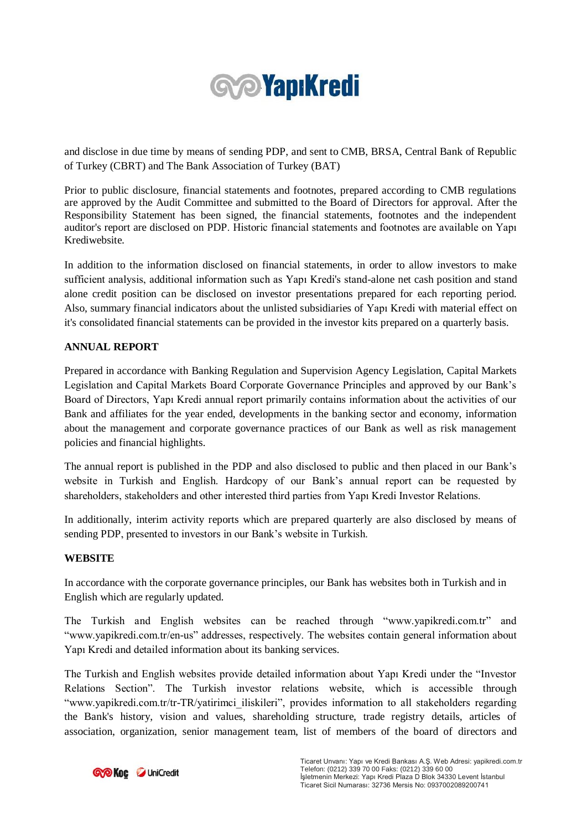

and disclose in due time by means of sending PDP, and sent to CMB, BRSA, Central Bank of Republic of Turkey (CBRT) and The Bank Association of Turkey (BAT)

Prior to public disclosure, financial statements and footnotes, prepared according to CMB regulations are approved by the Audit Committee and submitted to the Board of Directors for approval. After the Responsibility Statement has been signed, the financial statements, footnotes and the independent auditor's report are disclosed on PDP. Historic financial statements and footnotes are available on Yapı Krediwebsite.

In addition to the information disclosed on financial statements, in order to allow investors to make sufficient analysis, additional information such as Yapı Kredi's stand-alone net cash position and stand alone credit position can be disclosed on investor presentations prepared for each reporting period. Also, summary financial indicators about the unlisted subsidiaries of Yapı Kredi with material effect on it's consolidated financial statements can be provided in the investor kits prepared on a quarterly basis.

### **ANNUAL REPORT**

Prepared in accordance with Banking Regulation and Supervision Agency Legislation, Capital Markets Legislation and Capital Markets Board Corporate Governance Principles and approved by our Bank's Board of Directors, Yapı Kredi annual report primarily contains information about the activities of our Bank and affiliates for the year ended, developments in the banking sector and economy, information about the management and corporate governance practices of our Bank as well as risk management policies and financial highlights.

The annual report is published in the PDP and also disclosed to public and then placed in our Bank's website in Turkish and English. Hardcopy of our Bank's annual report can be requested by shareholders, stakeholders and other interested third parties from Yapı Kredi Investor Relations.

In additionally, interim activity reports which are prepared quarterly are also disclosed by means of sending PDP, presented to investors in our Bank's website in Turkish.

#### **WEBSITE**

In accordance with the corporate governance principles, our Bank has websites both in Turkish and in English which are regularly updated.

The Turkish and English websites can be reached through "www.yapikredi.com.tr" and "www.yapikredi.com.tr/en-us" addresses, respectively. The websites contain general information about Yapı Kredi and detailed information about its banking services.

The Turkish and English websites provide detailed information about Yapı Kredi under the "Investor Relations Section". The Turkish investor relations website, which is accessible through "www.yapikredi.com.tr/tr-TR/yatirimci\_iliskileri", provides information to all stakeholders regarding the Bank's history, vision and values, shareholding structure, trade registry details, articles of association, organization, senior management team, list of members of the board of directors and